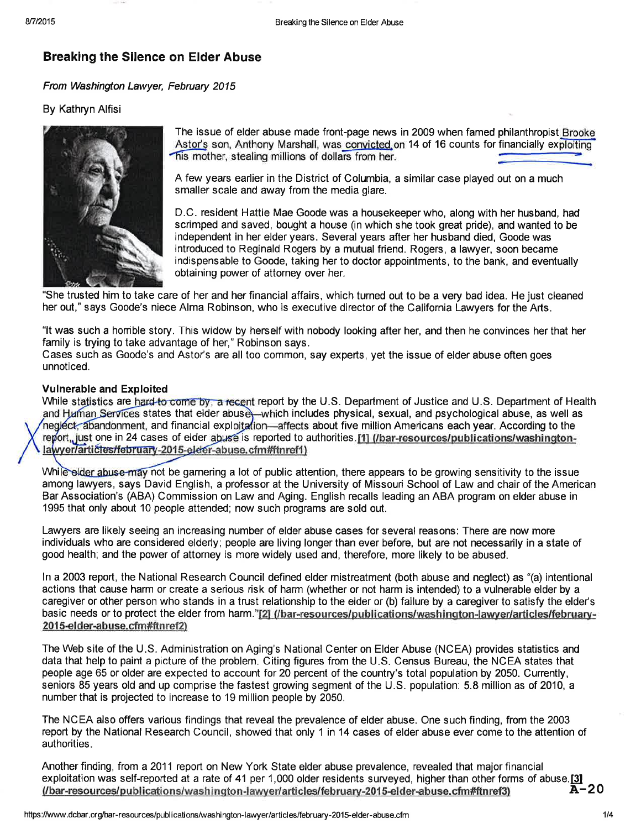# Breaking the Silence on Elder Abuse

From Washington Lawyer, February 2015

## By Kathryn Alfisi



The issue of elder abuse made front-page news in 2009 when famed philanthropist Brooke his mother, stealing millions of dollars from her. Astor's son, Anthony Marshall, was convicted on 14 of 16 counts for financially exploiting

A few years earlier in the District of Columbia, a similar case played out on a much smaller scale and away from the media glare.

D.C. resident Hattie Mae Goode was a housekeeper who, along with her husband, had scrimped and saved, bought a house (in which she took great pride), and wanted to be independent in her elder years. Several years after her husband died, Goode was introduced to Reginald Rogers by a mutual friend. Rogers, a lawyer, soon became indispensable to Goode, taking her to doctor appointments, to the bank, and eventually obtaining power of attorney over her.

"She trusted him to take care of her and her financial affairs, which turned out to be a very bad idea. He just cleaned her out," says Goode's niece Alma Robinson, who is executive director of the California Lawyers for the Arts.

"lt was such a honible story. This widow by herself with nobody looking after her, and then he convinces her that her family is trying to take advantage of her," Robinson says.

Cases such as Goode's and Astor's are all too common, say experts, yet the issue of elder abuse often goes unnoticed.

## Vulnerable and Exploited

While statistics are hard-to-come by, a recent report by the U.S. Department of Justice and U.S. Department of Health states that elder abuse—which includes physical, sexual, and psychological abuse, as well as and financial exploitation—affects about five million Americans each year. According to the one in 24 cases of elder abuse is reported to authorities. <u>[1] (/bar-resources/publications/washington-</u>

While elder abuse may not be garnering a lot of public attention, there appears to be growing sensitivity to the issue among lawyers, says David English, a professor at the University of Missouri School of Law and chair of the American Bar Association's (ABA) Commission on Law and Aging. English recalls leading an ABA program on elder abuse in 1995 that only about 10 people attended; now such programs are sold out.

Lawyers are likely seeing an increasing number of elder abuse cases for several reasons: There are now more individuals who are considered elderly; people are living longer than ever before, but are not necessarily in a state of good health; and the power of attorney is more widely used and, therefore, more likely to be abused.

ln a 2003 report, the National Research Council defined elder mistreatment (both abuse and neglect) as "(a) intentional actions that cause harm or create a serious risk of harm (whether or not harm is intended) to a vulnerable elder by a caregiver or other person who stands in a trust relationship to the elder or (b) failure by a caregiver to satisfy the elder's basic needs or to protect the elder from harm."[2] (/bar-resources/publications/washington-lawyer/articles/february-2015-elder-abuse.cfm#ftnref2)

The Web site of the U.S. Administration on Aging's National Center on Elder Abuse (NCEA) provides statistics and data that help to paint a picture of the problem. Citing figures from the U.S. Census Bureau, the NCEA states that people age 65 or older are expected to account for 20 percent of the country's total population by 2050. Currently, seniors 85 years old and up comprise the fastest growing segment of the U.S. population: 5.8 million as of 2010, a number that is projected to increase to 19 million people by 2050.

The NCEA also offers various findings that reveal the prevalence of elder abuse. One such finding, from the 2003 report by the National Research Council, showed that only I in 14 cases of elder abuse ever come to the attention of authorities.

20 Another finding, from a 2011 report on New York State elder abuse prevalence, revealed that major financial exploitation was self-reported at a rate of 41 per 1,000 older residents surveyed, higher than other forms of abuse.[3] (/bar-resources/publications/washington-lawyer/articles/february-2015-elder-abuse.cfm#ftnref3)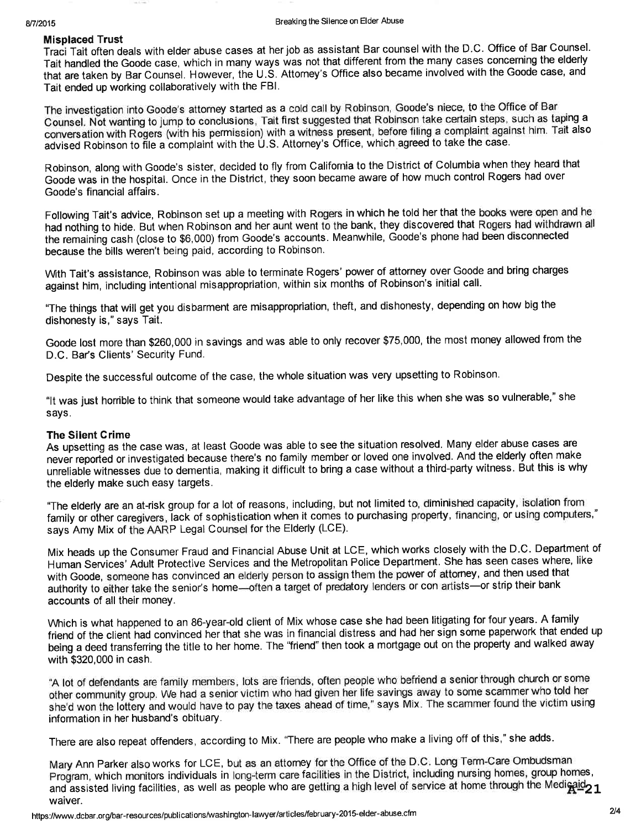## Misplaced Trust

Traci Tait often deals with elder abuse cases at her job as assistant Bar counsel with the D.C. Office of Bar Counsel. Tait handled the Goode case, which in many ways was not that different from the many cases concerning the elderly that are taken by Bar Counsel. However, the U.S. Attorney's Office also became involved with the Goode case, and Tait ended up working collaboratively with the FBl.

The investigation into Goode's attorney started as a cold call by Robinson, Goode's niece, to the Office of Bar Counsel. Nõt wanting to jump to conciusions, Tait first suggested that Robinson take certain steps, such as taping <sup>a</sup> conversation with Rogers (with his permission) with a witness present, before filing a complaint against him. Tait also advised Robinson to file a complaint with the U.S. Attorney's Office, which agreed to take the case.

Robinson, along with Goode's sister, decided to fly from California to the District of Columbia when they heard that Goode was in the hospital. Once in the District, they soon became aware of how much control Rogers had over Goode's financial affairs.

Following Tait's advice, Robinson set up a meeting with Rogers in which he told her that the books were open and he had nothing to hide. But when Robinson and her aunt went to the bank, they discovered that Rogers had withdrawn all the remaining cash (close to \$6,000) from Goode's accounts. Meanwhile, Goode's phone had been disconnected because the bills weren't being paid, according to Robinson.

Wth Tait's assistance, Robinson was able to terminate Rogers' power of attorney over Goode and bring charges against him, including intentional misappropriation, within six months of Robinson's initial call.

"The things that will get you disbarment are misappropriation, theft, and dishonesty, depending on how big the dishonesty is," says Tait.

Goode lost more than 9260,000 in savings and was able to only recover \$75,000, the most money allowed from the D.C. Bar's Clients' Security Fund.

Despite the successful outcome of the case, the whole situation was very upsetting to Robinson.

"It was just horrible to think that someone would take advantage of her like this when she was so vulnerable," she says.

## The Silent Grime

As upsetting as the case was, at least Goode was able to see the situation resolved. Many elder abuse cases are never reported or investigated because there's no family member or loved one involved. And the elderly often make unreliable witnesses due to dementia, making it difficult to bring a case without a third-party witness. But this is why the elderly make such easy targets.

"The elderly are an at-risk group for a lot of reasons, including, but not limited to, diminished capacity, isolation from family or other caregivers, lack of sophistication when it comes to purchasing property, financing, or using computers," says Amy Mix of the AARP Legal Counsel for the Elderly (LCE).

Mix heads up the Consumer Fraud and Financial Abuse Unit at LCE, which works closely with the D.C. Department of Human Services'Adult Protective Services and the Metropolitan Police Department. She has seen cases where, like with Goode, someone has convinced an elderly person to assign them the power of attorney, and then used that authority to either take the senior's home--often a target of predatory lenders or con artists-or strip their bank accounts of all their money.

Which is what happened to an 86-year-old client of Mix whose case she had been litigating for four years. A family friend of the client had convinced her that she was in financial distress and had her sign some paperwork that ended up being a deed transfening the tifle to her home. The "friend" then took a mortgage out on the property and walked away with \$320,000 in cash.

"A lot of defendants are family members, lots are friends, often people who befriend a senior through church or some other community group. We had a senior victim who had given her life savings away to some sc\_ammer who told her she'd won the lottery and would have to pay the taxes ahead of time," says Mix. The scammer found the victim using information in her husband's obituary.

There are also repeat offenders, according to Mix, "There are people who make a living off of this," she adds.

Mary Ann parker also works for LCE, but as an attomey for the Office of the D.C. Long Term-Care Ombudsman Program, which monitors individuals in long-term care facilities in the District, including nursing homes, group homes, and assisted living facilities, as well as people who are getting a high level of service at home through the Medigaid 21 waiver.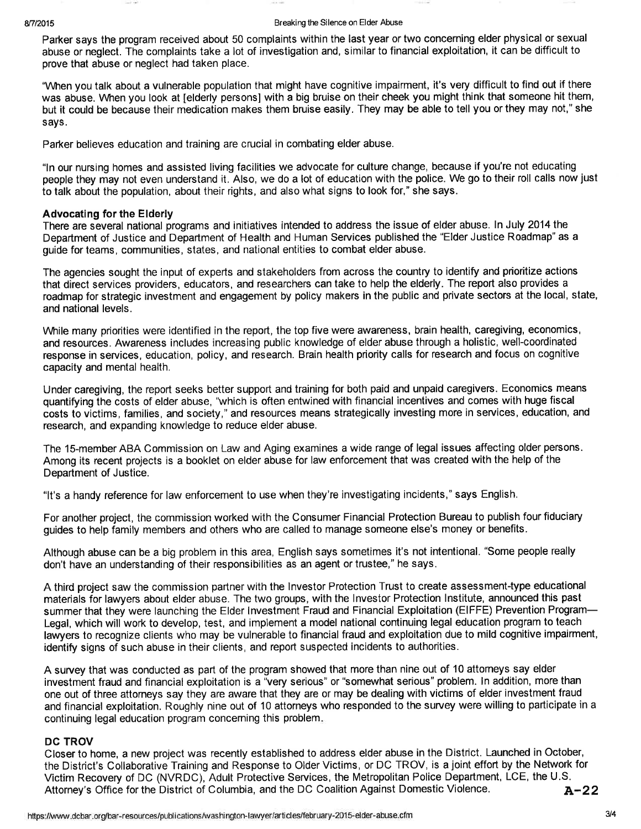### 8/7/2015 **Breaking the Silence on Elder Abuse**

Paker says the program received about 50 complaints within the last year or two concerning elder physical or sexual abuse or neglect. The complaints take a lot of investigation and, similar to financial exploitation, it can be difficult to prove that abuse or neglect had taken place.

"When you talk about a vulnerable population that might have cognitive impairment, it's very difficult to find out if there was abuse. When you look at [elderly persons] with a big bruise on their cheek you might think that someone hit them, but it could be because their medication makes them bruise easily. They may be able to tellyou orthey may not," she says.

Parker believes education and training are crucial in combating elder abuse.

"ln our nursing homes and assisted living facilities we advocate for culture change, because if you're not educating people they may not even understand it. Also, we do a lot of education with the police. We go to their roll calls now just to talk about the population, about their rights, and also what signs to look for," she says.

## Advocating for the Elderly

There are several national programs and initiatives intended to address the issue of elder abuse. In July 2014 the Department of Justice and Department of Health and Human Services published the "Elder Justice Roadmap" as a guide forteams, communities, states, and national entitíes to combat elder abuse.

The agencies sought the input of experts and stakeholders from across the country to identify and prioritize actions that direct services providers, educators, and researchers can take to help the elderly. The report also provides a roadmap for strategic investment and engagement by policy makers in the public and private sectors at the local, state, and national levels.

While many priorities were identified in the report, the top five were awareness, brain health, caregiving, economics, and resources. Awareness includes increasing public knowledge of elder abuse through a holistic, well-coordinated response in services, education, policy, and research. Brain health priority calls for research and focus on cognitive capacity and mental health.

Under caregiving, the report seeks better support and training for both paid and unpaid caregivers. Economics means quantifying the costs of elder abuse, "which is often entwined with financial incentives and comes with huge fiscal costs to victims, families, and society," and resources means strategically investing more in services, education, and research, and expanding knowledge to reduce elder abuse.

The 15-member ABA Commission on Law and Aging examines a wide range of legal issues affecting older persons. Among its recent projects is a booklet on elder abuse for law enforcement that was created with the help of the Department of Justice.

"lt's a handy reference for law enforcement to use when they're investigating incidents," says English.

For another project, the commission worked with the Consumer Financial Protection Bureau to publish four fiduciary guides to help family members and others who are called to manage someone else's money or benefits.

Although abuse can be a big problem in this area, English says sometimes it's not intentional. "Some people really don't have an understanding of their responsibilities as an agent or trustee," he says.

A third project saw the commission partner with the lnvestor Protection Trust to create assessment-type educational materials for lawyers about elder abuse. The two groups, with the lnvestor Protection lnstitute, announced this past summer that they were launching the Elder Investment Fraud and Financial Exploitation (EIFFE) Prevention Program-Legal, which will work to develop, test, and implement a model national continuing legal education program to teach lawyers to recognize clients who may be vulnerable to financial fraud and exploitation due to mild cognitive impairment, identify signs of such abuse in their clients, and report suspected incidents to authorities.

A survey that was conducted as part of the program showed that more than nine out of 10 attomeys say elder investment fraud and financial exploitation is a "very serious" or "somewhat serious" problem. ln addition, more than one out of three attorneys say they are aware that they are or may be dealing with victims of elder investment fraud and financial exploitation. Roughly nine out of 10 attorneys who responded to the survey were willing to participate in a continuing legal education program concerning this problem.

## DC TROV

Closer to home, a new project was recently established to address elder abuse in the District. Launched in October, the District's Collaborative Training and Response to Older Victims, or DC TROV, is a joint effort by the Network for Victim Recovery of DC (NVRDC), Adult Protective Services, the Metropolitan Police Department, LCE, the U.S. Attorney's Office for the District of Columbia, and the DC Coalition Against Domestic Violence. A-22